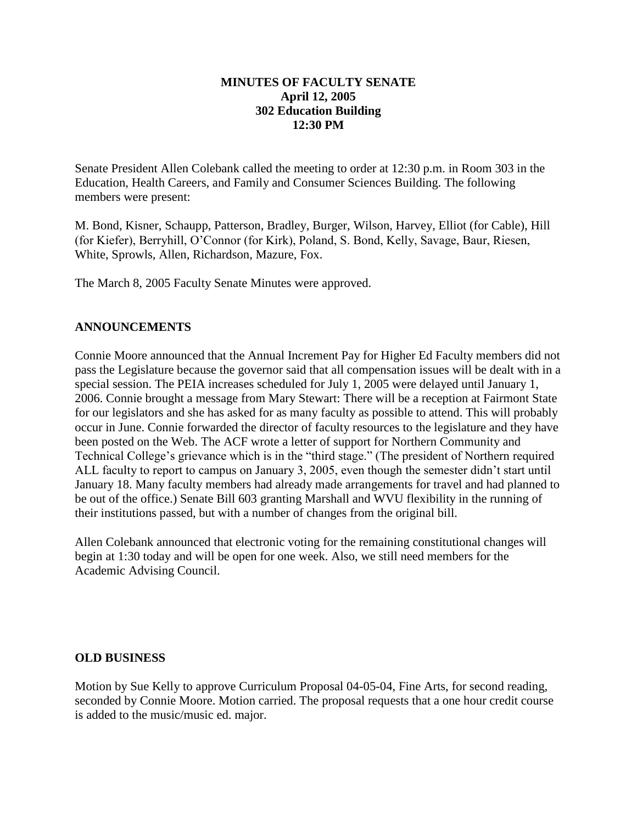## **MINUTES OF FACULTY SENATE April 12, 2005 302 Education Building 12:30 PM**

Senate President Allen Colebank called the meeting to order at 12:30 p.m. in Room 303 in the Education, Health Careers, and Family and Consumer Sciences Building. The following members were present:

M. Bond, Kisner, Schaupp, Patterson, Bradley, Burger, Wilson, Harvey, Elliot (for Cable), Hill (for Kiefer), Berryhill, O'Connor (for Kirk), Poland, S. Bond, Kelly, Savage, Baur, Riesen, White, Sprowls, Allen, Richardson, Mazure, Fox.

The March 8, 2005 Faculty Senate Minutes were approved.

## **ANNOUNCEMENTS**

Connie Moore announced that the Annual Increment Pay for Higher Ed Faculty members did not pass the Legislature because the governor said that all compensation issues will be dealt with in a special session. The PEIA increases scheduled for July 1, 2005 were delayed until January 1, 2006. Connie brought a message from Mary Stewart: There will be a reception at Fairmont State for our legislators and she has asked for as many faculty as possible to attend. This will probably occur in June. Connie forwarded the director of faculty resources to the legislature and they have been posted on the Web. The ACF wrote a letter of support for Northern Community and Technical College's grievance which is in the "third stage." (The president of Northern required ALL faculty to report to campus on January 3, 2005, even though the semester didn't start until January 18. Many faculty members had already made arrangements for travel and had planned to be out of the office.) Senate Bill 603 granting Marshall and WVU flexibility in the running of their institutions passed, but with a number of changes from the original bill.

Allen Colebank announced that electronic voting for the remaining constitutional changes will begin at 1:30 today and will be open for one week. Also, we still need members for the Academic Advising Council.

## **OLD BUSINESS**

Motion by Sue Kelly to approve Curriculum Proposal 04-05-04, Fine Arts, for second reading, seconded by Connie Moore. Motion carried. The proposal requests that a one hour credit course is added to the music/music ed. major.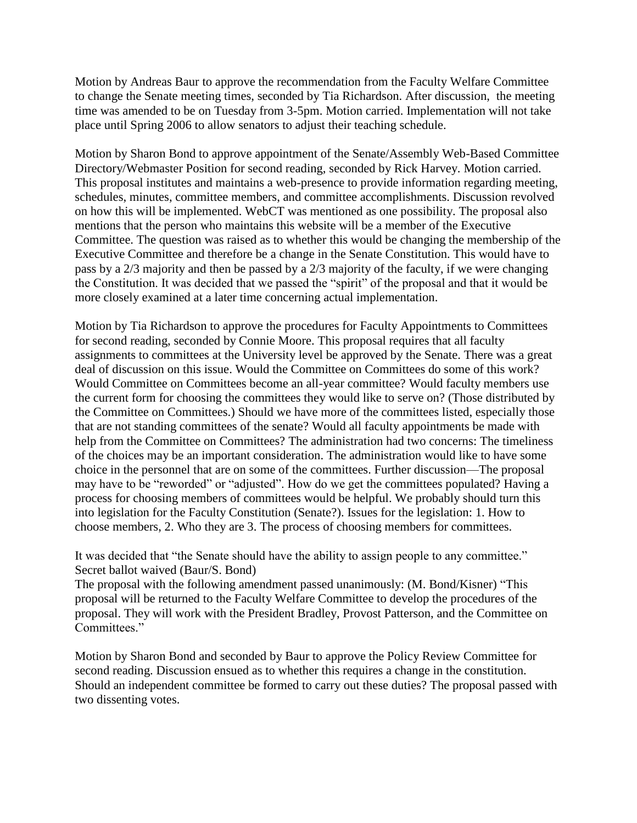Motion by Andreas Baur to approve the recommendation from the Faculty Welfare Committee to change the Senate meeting times, seconded by Tia Richardson. After discussion, the meeting time was amended to be on Tuesday from 3-5pm. Motion carried. Implementation will not take place until Spring 2006 to allow senators to adjust their teaching schedule.

Motion by Sharon Bond to approve appointment of the Senate/Assembly Web-Based Committee Directory/Webmaster Position for second reading, seconded by Rick Harvey. Motion carried. This proposal institutes and maintains a web-presence to provide information regarding meeting, schedules, minutes, committee members, and committee accomplishments. Discussion revolved on how this will be implemented. WebCT was mentioned as one possibility. The proposal also mentions that the person who maintains this website will be a member of the Executive Committee. The question was raised as to whether this would be changing the membership of the Executive Committee and therefore be a change in the Senate Constitution. This would have to pass by a 2/3 majority and then be passed by a 2/3 majority of the faculty, if we were changing the Constitution. It was decided that we passed the "spirit" of the proposal and that it would be more closely examined at a later time concerning actual implementation.

Motion by Tia Richardson to approve the procedures for Faculty Appointments to Committees for second reading, seconded by Connie Moore. This proposal requires that all faculty assignments to committees at the University level be approved by the Senate. There was a great deal of discussion on this issue. Would the Committee on Committees do some of this work? Would Committee on Committees become an all-year committee? Would faculty members use the current form for choosing the committees they would like to serve on? (Those distributed by the Committee on Committees.) Should we have more of the committees listed, especially those that are not standing committees of the senate? Would all faculty appointments be made with help from the Committee on Committees? The administration had two concerns: The timeliness of the choices may be an important consideration. The administration would like to have some choice in the personnel that are on some of the committees. Further discussion—The proposal may have to be "reworded" or "adjusted". How do we get the committees populated? Having a process for choosing members of committees would be helpful. We probably should turn this into legislation for the Faculty Constitution (Senate?). Issues for the legislation: 1. How to choose members, 2. Who they are 3. The process of choosing members for committees.

It was decided that "the Senate should have the ability to assign people to any committee." Secret ballot waived (Baur/S. Bond)

The proposal with the following amendment passed unanimously: (M. Bond/Kisner) "This proposal will be returned to the Faculty Welfare Committee to develop the procedures of the proposal. They will work with the President Bradley, Provost Patterson, and the Committee on Committees."

Motion by Sharon Bond and seconded by Baur to approve the Policy Review Committee for second reading. Discussion ensued as to whether this requires a change in the constitution. Should an independent committee be formed to carry out these duties? The proposal passed with two dissenting votes.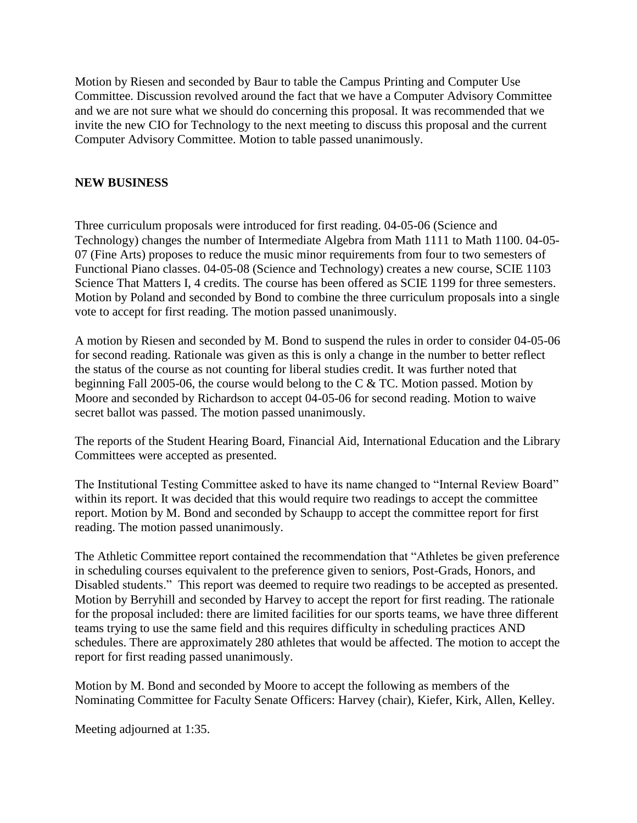Motion by Riesen and seconded by Baur to table the Campus Printing and Computer Use Committee. Discussion revolved around the fact that we have a Computer Advisory Committee and we are not sure what we should do concerning this proposal. It was recommended that we invite the new CIO for Technology to the next meeting to discuss this proposal and the current Computer Advisory Committee. Motion to table passed unanimously.

## **NEW BUSINESS**

Three curriculum proposals were introduced for first reading. 04-05-06 (Science and Technology) changes the number of Intermediate Algebra from Math 1111 to Math 1100. 04-05- 07 (Fine Arts) proposes to reduce the music minor requirements from four to two semesters of Functional Piano classes. 04-05-08 (Science and Technology) creates a new course, SCIE 1103 Science That Matters I, 4 credits. The course has been offered as SCIE 1199 for three semesters. Motion by Poland and seconded by Bond to combine the three curriculum proposals into a single vote to accept for first reading. The motion passed unanimously.

A motion by Riesen and seconded by M. Bond to suspend the rules in order to consider 04-05-06 for second reading. Rationale was given as this is only a change in the number to better reflect the status of the course as not counting for liberal studies credit. It was further noted that beginning Fall 2005-06, the course would belong to the C & TC. Motion passed. Motion by Moore and seconded by Richardson to accept 04-05-06 for second reading. Motion to waive secret ballot was passed. The motion passed unanimously.

The reports of the Student Hearing Board, Financial Aid, International Education and the Library Committees were accepted as presented.

The Institutional Testing Committee asked to have its name changed to "Internal Review Board" within its report. It was decided that this would require two readings to accept the committee report. Motion by M. Bond and seconded by Schaupp to accept the committee report for first reading. The motion passed unanimously.

The Athletic Committee report contained the recommendation that "Athletes be given preference in scheduling courses equivalent to the preference given to seniors, Post-Grads, Honors, and Disabled students." This report was deemed to require two readings to be accepted as presented. Motion by Berryhill and seconded by Harvey to accept the report for first reading. The rationale for the proposal included: there are limited facilities for our sports teams, we have three different teams trying to use the same field and this requires difficulty in scheduling practices AND schedules. There are approximately 280 athletes that would be affected. The motion to accept the report for first reading passed unanimously.

Motion by M. Bond and seconded by Moore to accept the following as members of the Nominating Committee for Faculty Senate Officers: Harvey (chair), Kiefer, Kirk, Allen, Kelley.

Meeting adjourned at 1:35.